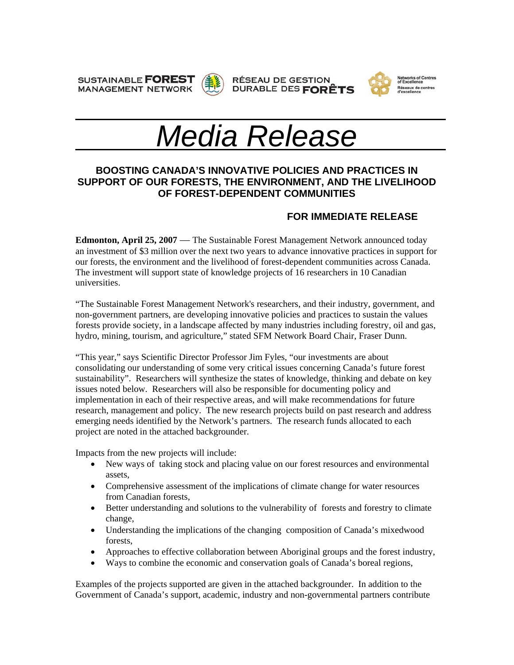





# *Media Release*

## **BOOSTING CANADA'S INNOVATIVE POLICIES AND PRACTICES IN SUPPORT OF OUR FORESTS, THE ENVIRONMENT, AND THE LIVELIHOOD OF FOREST-DEPENDENT COMMUNITIES**

# **FOR IMMEDIATE RELEASE**

**Edmonton, April 25, 2007** — The Sustainable Forest Management Network announced today an investment of \$3 million over the next two years to advance innovative practices in support for our forests, the environment and the livelihood of forest-dependent communities across Canada. The investment will support state of knowledge projects of 16 researchers in 10 Canadian universities.

"The Sustainable Forest Management Network's researchers, and their industry, government, and non-government partners, are developing innovative policies and practices to sustain the values forests provide society, in a landscape affected by many industries including forestry, oil and gas, hydro, mining, tourism, and agriculture," stated SFM Network Board Chair, Fraser Dunn.

"This year," says Scientific Director Professor Jim Fyles, "our investments are about consolidating our understanding of some very critical issues concerning Canada's future forest sustainability". Researchers will synthesize the states of knowledge, thinking and debate on key issues noted below. Researchers will also be responsible for documenting policy and implementation in each of their respective areas, and will make recommendations for future research, management and policy. The new research projects build on past research and address emerging needs identified by the Network's partners. The research funds allocated to each project are noted in the attached backgrounder.

Impacts from the new projects will include:

- New ways of taking stock and placing value on our forest resources and environmental assets,
- Comprehensive assessment of the implications of climate change for water resources from Canadian forests,
- Better understanding and solutions to the vulnerability of forests and forestry to climate change,
- Understanding the implications of the changing composition of Canada's mixedwood forests,
- Approaches to effective collaboration between Aboriginal groups and the forest industry,
- Ways to combine the economic and conservation goals of Canada's boreal regions,

Examples of the projects supported are given in the attached backgrounder. In addition to the Government of Canada's support, academic, industry and non-governmental partners contribute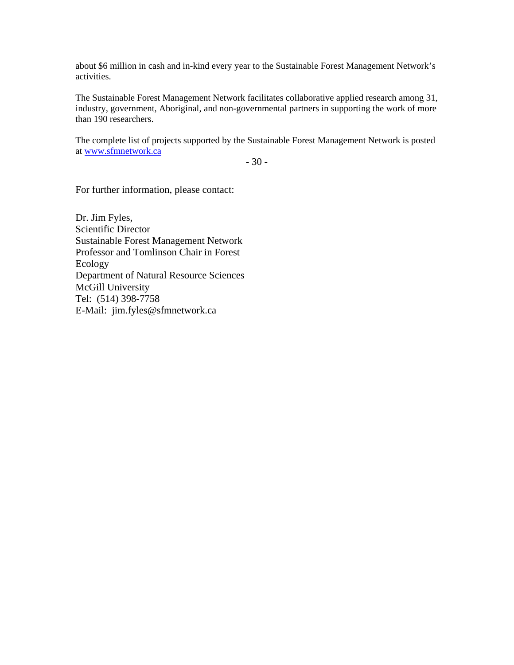about \$6 million in cash and in-kind every year to the Sustainable Forest Management Network's activities.

The Sustainable Forest Management Network facilitates collaborative applied research among 31, industry, government, Aboriginal, and non-governmental partners in supporting the work of more than 190 researchers.

The complete list of projects supported by the Sustainable Forest Management Network is posted at [www.sfmnetwork.ca](http://www.sfmnetwork.ca/)

- 30 -

For further information, please contact:

Dr. Jim Fyles, Scientific Director Sustainable Forest Management Network Professor and Tomlinson Chair in Forest Ecology Department of Natural Resource Sciences McGill University Tel: (514) 398-7758 E-Mail: jim.fyles@sfmnetwork.ca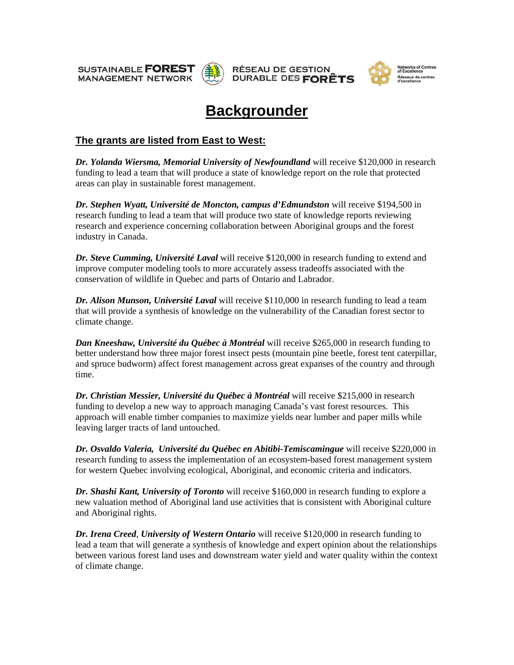





# **Backgrounder**

### **The grants are listed from East to West:**

*Dr. Yolanda Wiersma, Memorial University of Newfoundland* will receive \$120,000 in research funding to lead a team that will produce a state of knowledge report on the role that protected areas can play in sustainable forest management.

*Dr. Stephen Wyatt, Université de Moncton, campus d'Edmundston* will receive \$194,500 in research funding to lead a team that will produce two state of knowledge reports reviewing research and experience concerning collaboration between Aboriginal groups and the forest industry in Canada.

*Dr. Steve Cumming, Université Laval* will receive \$120,000 in research funding to extend and improve computer modeling tools to more accurately assess tradeoffs associated with the conservation of wildlife in Quebec and parts of Ontario and Labrador.

*Dr. Alison Munson, Université Laval* will receive \$110,000 in research funding to lead a team that will provide a synthesis of knowledge on the vulnerability of the Canadian forest sector to climate change.

*Dan Kneeshaw, Université du Québec à Montréal* will receive \$265,000 in research funding to better understand how three major forest insect pests (mountain pine beetle, forest tent caterpillar, and spruce budworm) affect forest management across great expanses of the country and through time.

*Dr. Christian Messier, Université du Québec à Montréal* will receive \$215,000 in research funding to develop a new way to approach managing Canada's vast forest resources. This approach will enable timber companies to maximize yields near lumber and paper mills while leaving larger tracts of land untouched.

*Dr. Osvaldo Valeria, Université du Québec en Abitibi-Temiscamingue* will receive \$220,000 in research funding to assess the implementation of an ecosystem-based forest management system for western Quebec involving ecological, Aboriginal, and economic criteria and indicators.

*Dr. Shashi Kant, University of Toronto* will receive \$160,000 in research funding to explore a new valuation method of Aboriginal land use activities that is consistent with Aboriginal culture and Aboriginal rights.

*Dr. Irena Creed*, *University of Western Ontario* will receive \$120,000 in research funding to lead a team that will generate a synthesis of knowledge and expert opinion about the relationships between various forest land uses and downstream water yield and water quality within the context of climate change.